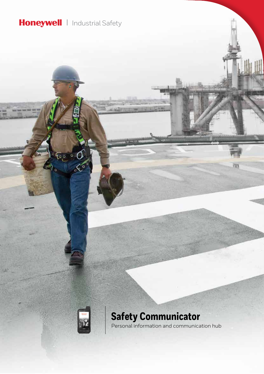### **Honeywell** | Industrial Safety



**Safety Communicator** Personal information and communication hub 面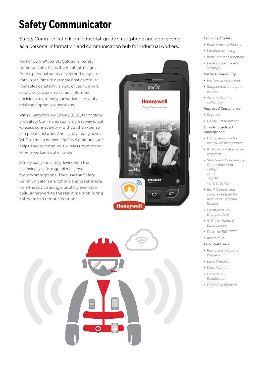# **Safety Communicator**

Safety Communicator is an industrial-grade smartphone and app serving as a personal information and communication hub for industrial workers.

Part of ConneXt Safety Solutions, Safety Communicator takes the Bluetooth® signal from a personal safety device and relays its data in real time to a remote host controller. It enables constant visibility of your workers' safety, so you can make fast, informed decisions to protect your workers, prevent a crisis and optimize operations.

With Bluetooth Low Energy (BLE) technology, the Safety Communicator is a great way to get wireless connectivity — without the expense of a private network. And if you already have a Wi-Fi or mesh network, Safety Communicator helps ensure continuous wireless monitoring when a worker is out of range.

Simply pair your safety device with the intrinsically safe, ruggedized, glovefriendly smartphone. Then use the Safety Communicator smartphone app to send data from the device using a publicly available cellular network to the real-time monitoring software in a remote location.





### *Enhanced Safety*

- *• Real-time monitoring*
- *• Location tracking*
- *• Instrument association*
- *• Personal profile and settings*

### *Better Productivity*

- *• Performance support*
- *• Subject matter expert access*
- *• Automatic data collection*

#### *Improved Compliance*

- *• Reports*
- *• Policy Enforcement*

### *Ultra Ruggedized Smartphone*

- *• Global approval for worldwide acceptance*
- *• IP-68 water- and dustresistant*
- *• Short- and Long-range Communication - NFC*
- *BLE*
- *Wi-Fi*
- *LTE (3G, 4G)*
- *• 8MP Camera and camcorder (can be disabled), Barcode Reader*
- *• Location (GPS, triangulation)*
- *• 4" Glove-friendly touchscreen*
- *• Push-to-Talk (PTT)*
- *• Android OS*

### *Potential Users*

- *• Remote and Mobile Workers*
- *• Lone Workers*
- *• Plant Workers*
- *• Emergency Responders*
- *• High-Risk Workers*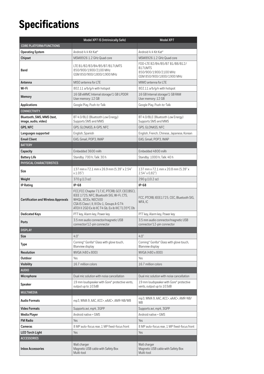## **Specifications**

|                                                    | Model XP7 IS (Intrinsically Safe)                                                                                                                                                                                         | Model XP7                                                                                       |
|----------------------------------------------------|---------------------------------------------------------------------------------------------------------------------------------------------------------------------------------------------------------------------------|-------------------------------------------------------------------------------------------------|
| <b>CORE PLATFORM/FUNCTIONS</b>                     |                                                                                                                                                                                                                           |                                                                                                 |
| <b>Operating System</b>                            | Android 4.4 Kit Kat®                                                                                                                                                                                                      | Android 4.4 Kit Kat®                                                                            |
| Chipset                                            | MSM8926 1.2 GHz Quad core                                                                                                                                                                                                 | MSM8926 1.2 GHz Quad core                                                                       |
| <b>Band</b>                                        | LTE B1/B2/B3/B4/B5/B7/B17UMTS<br>850/900/1900/2100 MHz<br>GSM 850/900/1800/1900 MHz                                                                                                                                       | FDD-LTE B2/B4/B5/B7 B1/B8/B12/<br>B17UMTS<br>850/900/1900/2100 MHz<br>GSM 850/900/1800/1900 MHz |
| Antenna                                            | MISO antenna for LTF                                                                                                                                                                                                      | MIMO antenna for LTF                                                                            |
| Wi-Fi                                              | 802.11 a/b/g/n with hotspot                                                                                                                                                                                               | 802.11 a/b/g/n with hotspot                                                                     |
| Memory                                             | 16 GB eMMC Internal storage/1 GB LPDDR<br>User memory: 12 GB                                                                                                                                                              | 16 GB Internal storage/1 GB RAM<br>User memory: 12 GB                                           |
| <b>Applications</b>                                | Google Play, Push-to-Talk                                                                                                                                                                                                 | Google Play, Push-to-Talk                                                                       |
| <b>CONNECTIVITY</b>                                |                                                                                                                                                                                                                           |                                                                                                 |
| Bluetooth, SMS, MMS (text,<br>image, audio, video) | BT 4.0/BLE (Bluetooth Low Energy)<br>Supports SMS and MMS                                                                                                                                                                 | BT 4.0/BLE (Bluetooth Low Energy)<br>Supports SMS and MMS                                       |
| GPS, NFC                                           | GPS, GLONASS, A-GPS, NFC                                                                                                                                                                                                  | GPS, GLONASS, NFC                                                                               |
| Languages supported                                | English, Spanish                                                                                                                                                                                                          | English, French, Chinese, Japanese, Korean                                                      |
| <b>Email Client</b>                                | EAS, Gmail, POP3, IMAP                                                                                                                                                                                                    | EAS, Gmail, POP3, IMAP                                                                          |
| <b>BATTERY</b>                                     |                                                                                                                                                                                                                           |                                                                                                 |
| Capacity                                           | Embedded 3600 mAh                                                                                                                                                                                                         | Embedded 4800 mAh                                                                               |
| <b>Battery Life</b>                                | Standby: 700 h; Talk: 30 h                                                                                                                                                                                                | Standby: 1000 h; Talk: 40 h                                                                     |
| PHYSICAL CHARACTERISTICS                           |                                                                                                                                                                                                                           |                                                                                                 |
| <b>Size</b>                                        | 137 mm x 72.1 mm x 26.9 mm (5.39" x 2.54"<br>x 1.05")                                                                                                                                                                     | 137 mm x 72.1 mm x 20.8 mm (5.39" x<br>$2.54" \times 0.82"$                                     |
| Weight                                             | 370 g (13 oz)                                                                                                                                                                                                             | 290 g (10.2 oz)                                                                                 |
| <b>IP Rating</b>                                   | $IP-68$                                                                                                                                                                                                                   | IP-68                                                                                           |
| <b>Certification and Wireless Approvals</b>        | FCC, FCC Chapter 717, IC, PTCRB, GCF, CEC(BSC),<br>IEEE 1725, NFC, Bluetooth SIG, Wi-Fi, CTS,<br>WHQL, IECEx, NEC500<br>CSA IS Class I, II, III Div 1, Groups A-G T4<br>ATEX II 2GD Ex ib IIC T4 Gb, Ex ib IIIC T135°C Db | FCC, PTCRB, IEEE1725, CEC, Bluetooth SIG,<br>WFA, IC                                            |
| <b>Dedicated Keys</b>                              | PTT key, Alarm key, Power key                                                                                                                                                                                             | PTT key, Alarm key, Power key                                                                   |
| Ports                                              | 3.5 mm audio connector/magnetic USB<br>connector/12-pin connector                                                                                                                                                         | 3.5 mm audio connector/magnetic USB<br>connector/12-pin connector                               |
| <b>DISPLAY</b>                                     |                                                                                                                                                                                                                           |                                                                                                 |
| Size                                               | 4.0"                                                                                                                                                                                                                      | 4.0"                                                                                            |
| Type                                               | Corning® Gorilla® Glass with glove touch,<br>Blanview display                                                                                                                                                             | Corning® Gorilla® Glass with glove touch,<br>Blanview display                                   |
| Resolution                                         | WVGA (480 x 800)                                                                                                                                                                                                          | WVGA (480 x 800)                                                                                |
| Outdoor                                            | Yes                                                                                                                                                                                                                       | Yes                                                                                             |
| <b>Visibility</b>                                  | 16.7 million colors                                                                                                                                                                                                       | 16.7 million colors                                                                             |
| <b>AUDIO</b>                                       |                                                                                                                                                                                                                           |                                                                                                 |
| Microphone                                         | Dual mic solution with noise cancellation                                                                                                                                                                                 | Dual mic solution with noise cancellation                                                       |
| <b>Speaker</b>                                     | 19 mm loudspeaker with Gore® protective vents,<br>output up to 103dB                                                                                                                                                      | 19 mm loudspeaker with Gore® protective<br>vents, output up to 103dB                            |
| <b>MULTIMEDIA</b>                                  |                                                                                                                                                                                                                           |                                                                                                 |
| <b>Audio Formats</b>                               | mp3, WMA 9, AAC, ACC+, eAAC+, AMR-NB/WB                                                                                                                                                                                   | mp3, WMA 9, AAC, ACC+, eAAC+, AMR-NB/<br>WB                                                     |
| <b>Video Formats</b>                               | Supports avi, mp4, 3GPP                                                                                                                                                                                                   | Supports avi, mp4, 3GPP                                                                         |
| <b>Media Player</b>                                | Android native + GMS                                                                                                                                                                                                      | Android native + GMS                                                                            |
| <b>FM Radio</b>                                    | Yes                                                                                                                                                                                                                       | Yes                                                                                             |
| Cameras                                            | 8 MP auto-focus rear, 1 MP fixed-focus front                                                                                                                                                                              | 8 MP auto-focus rear, 1 MP fixed-focus front                                                    |
| <b>LED Torch Light</b><br><b>ACCESSORIES</b>       | Yes                                                                                                                                                                                                                       | Yes                                                                                             |
| <b>Inbox Accessories</b>                           | Wall charger<br>Magnetic USB cable with Safety Box<br>Multi-tool                                                                                                                                                          | Wall charger<br>Magnetic USB cable with Safety Box<br>Multi-tool                                |